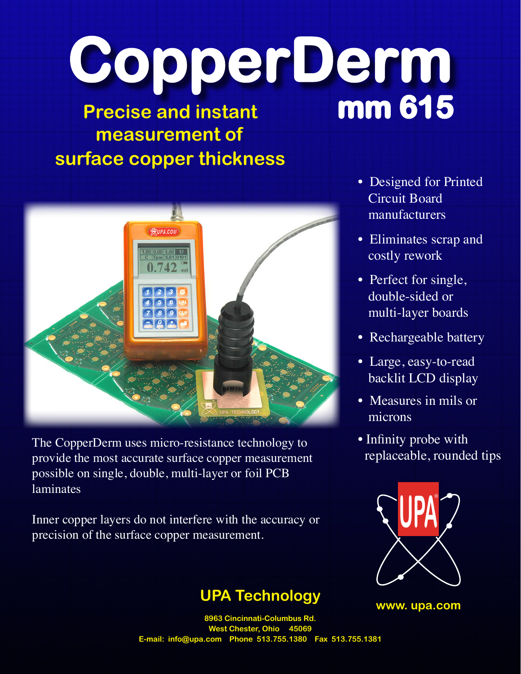# **CopperDerm Precise and instant mm 615**

## **measurement of surface copper thickness**



The CopperDerm uses micro-resistance technology to provide the most accurate surface copper measurement possible on single, double, multi-layer or foil PCB laminates

Inner copper layers do not interfere with the accuracy or precision of the surface copper measurement.

#### **UPA Technology**

- Designed for Printed Circuit Board manufacturers
- Eliminates scrap and costly rework
- Perfect for single, double-sided or multi-layer boards
- Rechargeable battery
- Large, easy-to-read backlit LCD display
- Measures in mils or microns
- Infinity probe with replaceable, rounded tips



**www. upa.com**

**8963 Cincinnati-Columbus Rd.** West Chester, Ohio 450 **E-mail: info@upa.com Phone 513.755.1380 Fax 513.755.1381**